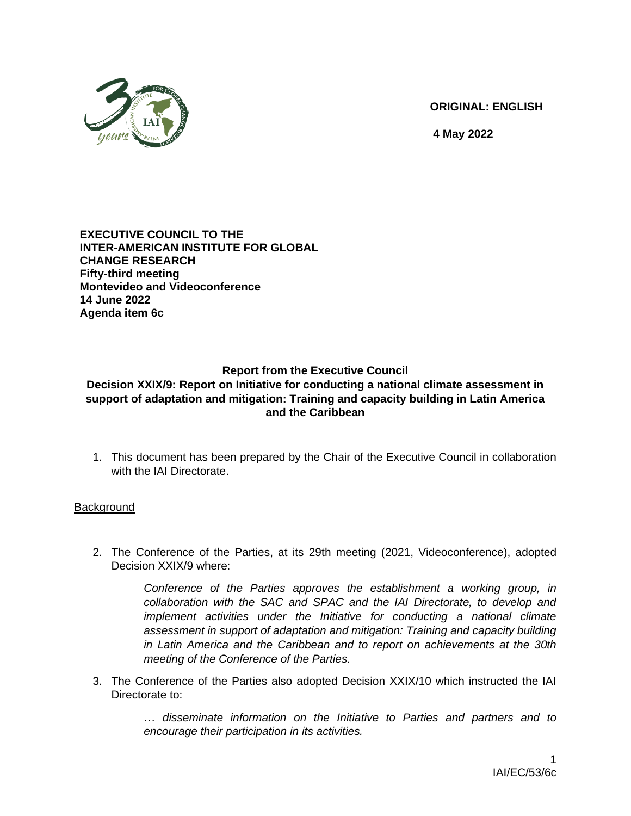

**ORIGINAL: ENGLISH**

**4 May 2022**

#### **EXECUTIVE COUNCIL TO THE INTER-AMERICAN INSTITUTE FOR GLOBAL CHANGE RESEARCH Fifty-third meeting Montevideo and Videoconference 14 June 2022 Agenda item 6c**

# **Report from the Executive Council**

### **Decision XXIX/9: Report on Initiative for conducting a national climate assessment in support of adaptation and mitigation: Training and capacity building in Latin America and the Caribbean**

1. This document has been prepared by the Chair of the Executive Council in collaboration with the IAI Directorate.

## **Background**

2. The Conference of the Parties, at its 29th meeting (2021, Videoconference), adopted Decision XXIX/9 where:

> Conference of the Parties approves the establishment a working group, in *collaboration with the SAC and SPAC and the IAI Directorate, to develop and implement activities under the Initiative for conducting a national climate assessment in support of adaptation and mitigation: Training and capacity building in Latin America and the Caribbean and to report on achievements at the 30th meeting of the Conference of the Parties.*

3. The Conference of the Parties also adopted Decision XXIX/10 which instructed the IAI Directorate to:

> … *disseminate information on the Initiative to Parties and partners and to encourage their participation in its activities.*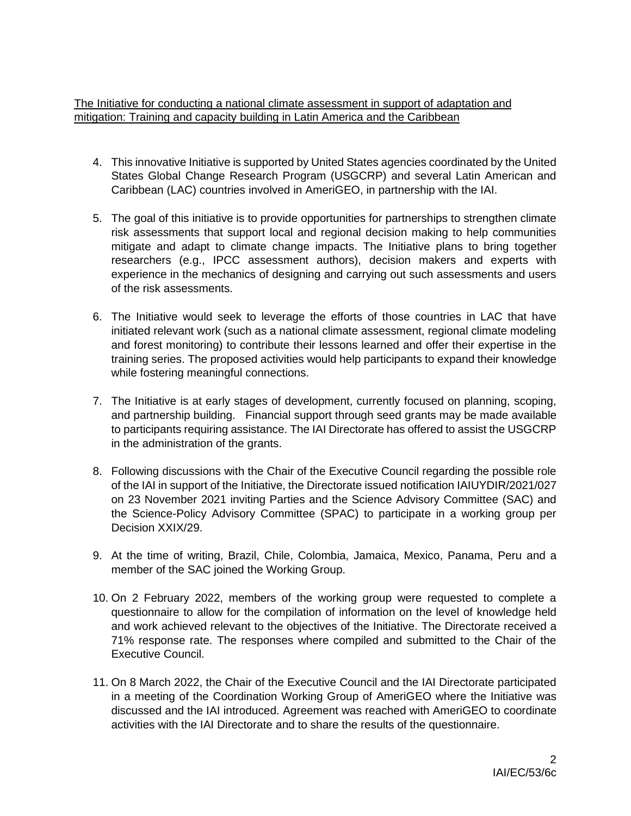The Initiative for conducting a national climate assessment in support of adaptation and mitigation: Training and capacity building in Latin America and the Caribbean

- 4. This innovative Initiative is supported by United States agencies coordinated by the United States Global Change Research Program (USGCRP) and several Latin American and Caribbean (LAC) countries involved in AmeriGEO, in partnership with the IAI.
- 5. The goal of this initiative is to provide opportunities for partnerships to strengthen climate risk assessments that support local and regional decision making to help communities mitigate and adapt to climate change impacts. The Initiative plans to bring together researchers (e.g., IPCC assessment authors), decision makers and experts with experience in the mechanics of designing and carrying out such assessments and users of the risk assessments.
- 6. The Initiative would seek to leverage the efforts of those countries in LAC that have initiated relevant work (such as a national climate assessment, regional climate modeling and forest monitoring) to contribute their lessons learned and offer their expertise in the training series. The proposed activities would help participants to expand their knowledge while fostering meaningful connections.
- 7. The Initiative is at early stages of development, currently focused on planning, scoping, and partnership building. Financial support through seed grants may be made available to participants requiring assistance. The IAI Directorate has offered to assist the USGCRP in the administration of the grants.
- 8. Following discussions with the Chair of the Executive Council regarding the possible role of the IAI in support of the Initiative, the Directorate issued notification IAIUYDIR/2021/027 on 23 November 2021 inviting Parties and the Science Advisory Committee (SAC) and the Science-Policy Advisory Committee (SPAC) to participate in a working group per Decision XXIX/29.
- 9. At the time of writing, Brazil, Chile, Colombia, Jamaica, Mexico, Panama, Peru and a member of the SAC joined the Working Group.
- 10. On 2 February 2022, members of the working group were requested to complete a questionnaire to allow for the compilation of information on the level of knowledge held and work achieved relevant to the objectives of the Initiative. The Directorate received a 71% response rate. The responses where compiled and submitted to the Chair of the Executive Council.
- 11. On 8 March 2022, the Chair of the Executive Council and the IAI Directorate participated in a meeting of the Coordination Working Group of AmeriGEO where the Initiative was discussed and the IAI introduced. Agreement was reached with AmeriGEO to coordinate activities with the IAI Directorate and to share the results of the questionnaire.